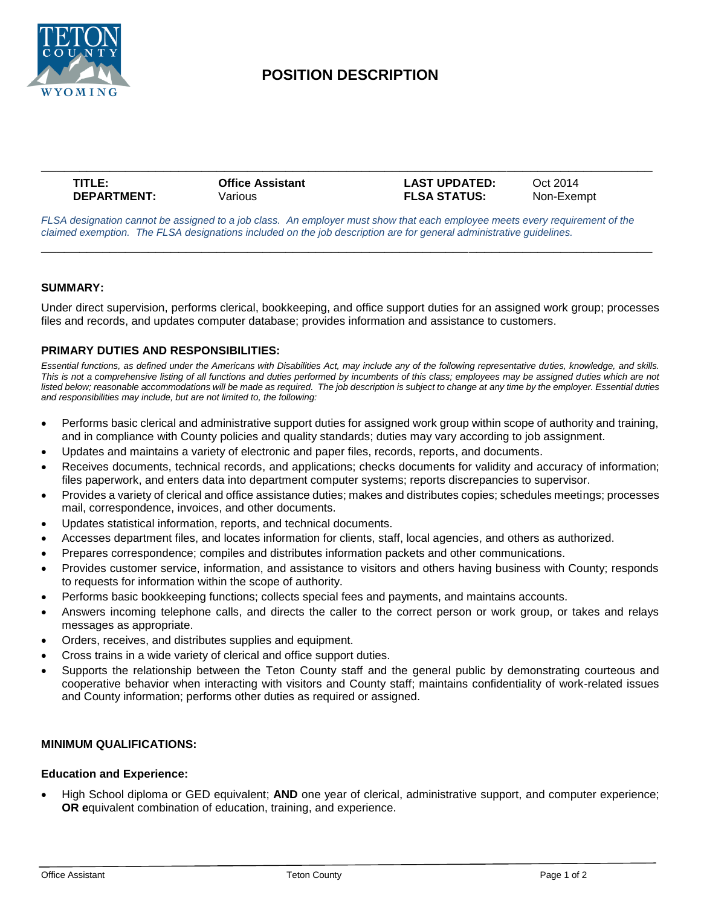

# **POSITION DESCRIPTION**

| TITLE:             | <b>Office Assistant</b> | <b>LAST UPDATED:</b> | Oct 2014   |
|--------------------|-------------------------|----------------------|------------|
| <b>DEPARTMENT:</b> | Various                 | <b>FLSA STATUS:</b>  | Non-Exempt |

*FLSA designation cannot be assigned to a job class. An employer must show that each employee meets every requirement of the claimed exemption. The FLSA designations included on the job description are for general administrative guidelines.*

**\_\_\_\_\_\_\_\_\_\_\_\_\_\_\_\_\_\_\_\_\_\_\_\_\_\_\_\_\_\_\_\_\_\_\_\_\_\_\_\_\_\_\_\_\_\_\_\_\_\_\_\_\_\_\_\_\_\_\_\_\_\_\_\_\_\_\_\_\_\_\_\_\_\_\_\_\_\_\_\_**

#### **SUMMARY:**

Under direct supervision, performs clerical, bookkeeping, and office support duties for an assigned work group; processes files and records, and updates computer database; provides information and assistance to customers.

## **PRIMARY DUTIES AND RESPONSIBILITIES:**

*Essential functions, as defined under the Americans with Disabilities Act, may include any of the following representative duties, knowledge, and skills. This is not a comprehensive listing of all functions and duties performed by incumbents of this class; employees may be assigned duties which are not*  listed below; reasonable accommodations will be made as required. The job description is subject to change at any time by the employer. Essential duties *and responsibilities may include, but are not limited to, the following:*

- Performs basic clerical and administrative support duties for assigned work group within scope of authority and training, and in compliance with County policies and quality standards; duties may vary according to job assignment.
- Updates and maintains a variety of electronic and paper files, records, reports, and documents.
- Receives documents, technical records, and applications; checks documents for validity and accuracy of information; files paperwork, and enters data into department computer systems; reports discrepancies to supervisor.
- Provides a variety of clerical and office assistance duties; makes and distributes copies; schedules meetings; processes mail, correspondence, invoices, and other documents.
- Updates statistical information, reports, and technical documents.
- Accesses department files, and locates information for clients, staff, local agencies, and others as authorized.
- Prepares correspondence; compiles and distributes information packets and other communications.
- Provides customer service, information, and assistance to visitors and others having business with County; responds to requests for information within the scope of authority.
- Performs basic bookkeeping functions; collects special fees and payments, and maintains accounts.
- Answers incoming telephone calls, and directs the caller to the correct person or work group, or takes and relays messages as appropriate.
- Orders, receives, and distributes supplies and equipment.
- Cross trains in a wide variety of clerical and office support duties.
- Supports the relationship between the Teton County staff and the general public by demonstrating courteous and cooperative behavior when interacting with visitors and County staff; maintains confidentiality of work-related issues and County information; performs other duties as required or assigned.

## **MINIMUM QUALIFICATIONS:**

#### **Education and Experience:**

• High School diploma or GED equivalent; **AND** one year of clerical, administrative support, and computer experience; **OR e**quivalent combination of education, training, and experience.